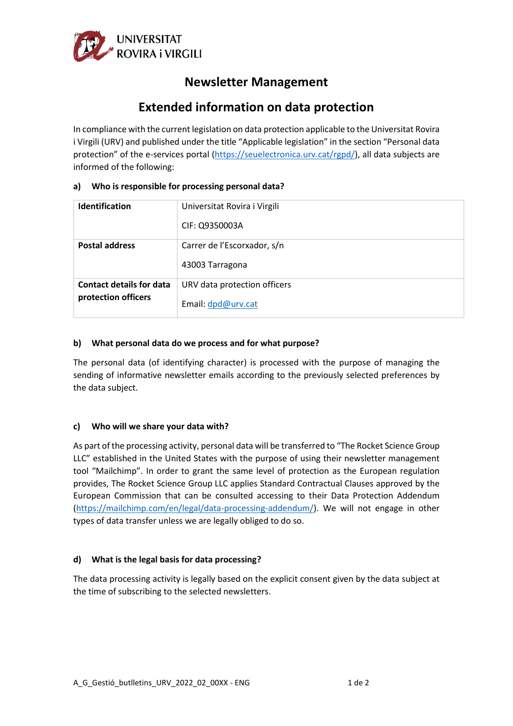

# **Newsletter Management**

# **Extended information on data protection**

In compliance with the current legislation on data protection applicable to the Universitat Rovira i Virgili (URV) and published under the title "Applicable legislation" in the section "Personal data protection" of the e-services portal [\(https://seuelectronica.urv.cat/rgpd/\)](https://seuelectronica.urv.cat/rgpd/), all data subjects are informed of the following:

| a) |  | Who is responsible for processing personal data? |
|----|--|--------------------------------------------------|
|----|--|--------------------------------------------------|

| <b>Identification</b>           | Universitat Rovira i Virgili |
|---------------------------------|------------------------------|
|                                 | CIF: Q9350003A               |
| <b>Postal address</b>           | Carrer de l'Escorxador, s/n  |
|                                 | 43003 Tarragona              |
| <b>Contact details for data</b> | URV data protection officers |
| protection officers             | Email: dpd@urv.cat           |

## **b) What personal data do we process and for what purpose?**

The personal data (of identifying character) is processed with the purpose of managing the sending of informative newsletter emails according to the previously selected preferences by the data subject.

## **c) Who will we share your data with?**

As part of the processing activity, personal data will be transferred to "The Rocket Science Group LLC" established in the United States with the purpose of using their newsletter management tool "Mailchimp". In order to grant the same level of protection as the European regulation provides, The Rocket Science Group LLC applies Standard Contractual Clauses approved by the European Commission that can be consulted accessing to their Data Protection Addendum [\(https://mailchimp.com/en/legal/data-processing-addendum/\)](https://mailchimp.com/en/legal/data-processing-addendum/). We will not engage in other types of data transfer unless we are legally obliged to do so.

## **d) What is the legal basis for data processing?**

The data processing activity is legally based on the explicit consent given by the data subject at the time of subscribing to the selected newsletters.